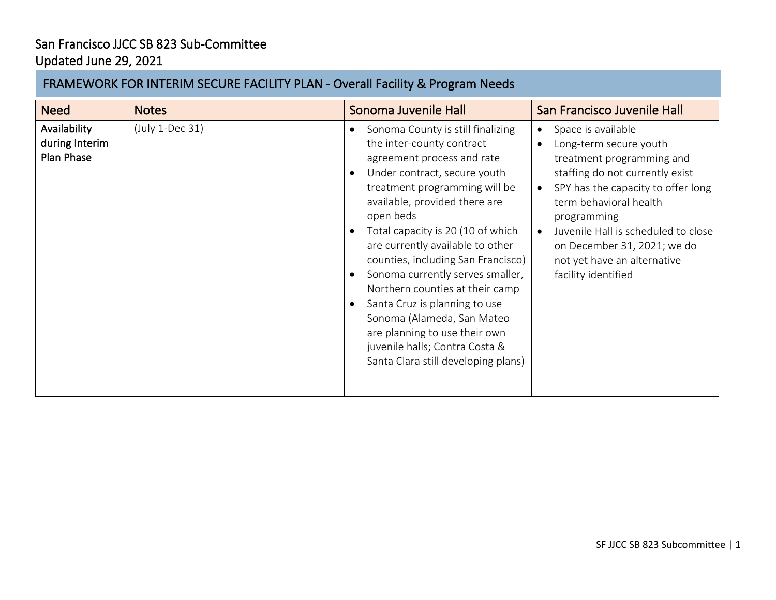## San Francisco JJCC SB 823 Sub-Committee Updated June 29, 2021

## FRAMEWORK FOR INTERIM SECURE FACILITY PLAN - Overall Facility & Program Needs

| <b>Need</b>                                  | <b>Notes</b>    | Sonoma Juvenile Hall                                                                                                                                                                                                                                                                                                                                                                                                                                                                                                                                                                                              | San Francisco Juvenile Hall                                                                                                                                                                                                                                                                                                          |
|----------------------------------------------|-----------------|-------------------------------------------------------------------------------------------------------------------------------------------------------------------------------------------------------------------------------------------------------------------------------------------------------------------------------------------------------------------------------------------------------------------------------------------------------------------------------------------------------------------------------------------------------------------------------------------------------------------|--------------------------------------------------------------------------------------------------------------------------------------------------------------------------------------------------------------------------------------------------------------------------------------------------------------------------------------|
| Availability<br>during Interim<br>Plan Phase | (July 1-Dec 31) | Sonoma County is still finalizing<br>$\bullet$<br>the inter-county contract<br>agreement process and rate<br>Under contract, secure youth<br>treatment programming will be<br>available, provided there are<br>open beds<br>Total capacity is 20 (10 of which<br>$\bullet$<br>are currently available to other<br>counties, including San Francisco)<br>Sonoma currently serves smaller,<br>Northern counties at their camp<br>Santa Cruz is planning to use<br>$\bullet$<br>Sonoma (Alameda, San Mateo<br>are planning to use their own<br>juvenile halls; Contra Costa &<br>Santa Clara still developing plans) | Space is available<br>$\bullet$<br>Long-term secure youth<br>treatment programming and<br>staffing do not currently exist<br>SPY has the capacity to offer long<br>term behavioral health<br>programming<br>Juvenile Hall is scheduled to close<br>on December 31, 2021; we do<br>not yet have an alternative<br>facility identified |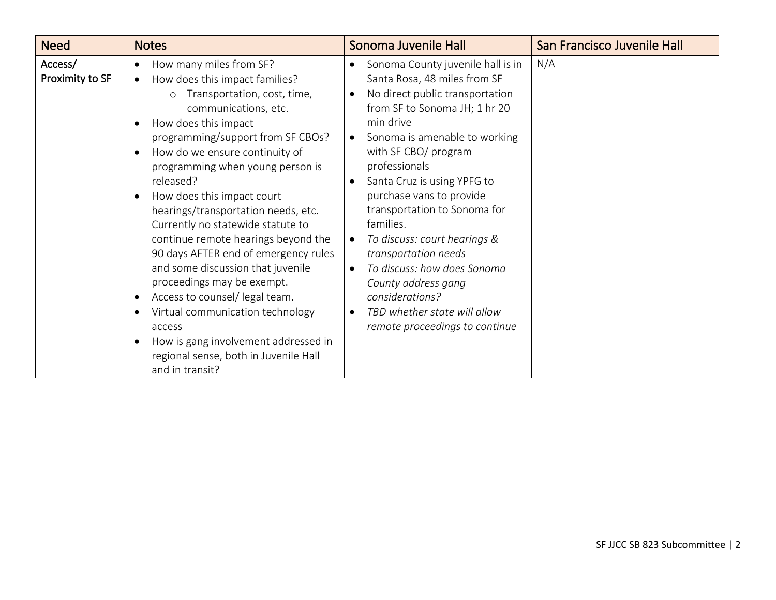| <b>Need</b>                | <b>Notes</b>                                                                                                                                                                                                                                                                                                                                                                                                                                                                                                                                                                                                                                                                                                                 | Sonoma Juvenile Hall                                                                                                                                                                                                                                                                                                                                                                                                                                                                                                                                                                                                               | San Francisco Juvenile Hall |
|----------------------------|------------------------------------------------------------------------------------------------------------------------------------------------------------------------------------------------------------------------------------------------------------------------------------------------------------------------------------------------------------------------------------------------------------------------------------------------------------------------------------------------------------------------------------------------------------------------------------------------------------------------------------------------------------------------------------------------------------------------------|------------------------------------------------------------------------------------------------------------------------------------------------------------------------------------------------------------------------------------------------------------------------------------------------------------------------------------------------------------------------------------------------------------------------------------------------------------------------------------------------------------------------------------------------------------------------------------------------------------------------------------|-----------------------------|
| Access/<br>Proximity to SF | How many miles from SF?<br>How does this impact families?<br>Transportation, cost, time,<br>$\Omega$<br>communications, etc.<br>How does this impact<br>programming/support from SF CBOs?<br>How do we ensure continuity of<br>programming when young person is<br>released?<br>How does this impact court<br>hearings/transportation needs, etc.<br>Currently no statewide statute to<br>continue remote hearings beyond the<br>90 days AFTER end of emergency rules<br>and some discussion that juvenile<br>proceedings may be exempt.<br>Access to counsel/ legal team.<br>Virtual communication technology<br>access<br>How is gang involvement addressed in<br>regional sense, both in Juvenile Hall<br>and in transit? | Sonoma County juvenile hall is in<br>$\bullet$<br>Santa Rosa, 48 miles from SF<br>No direct public transportation<br>$\bullet$<br>from SF to Sonoma JH; 1 hr 20<br>min drive<br>Sonoma is amenable to working<br>$\bullet$<br>with SF CBO/ program<br>professionals<br>Santa Cruz is using YPFG to<br>$\bullet$<br>purchase vans to provide<br>transportation to Sonoma for<br>families.<br>To discuss: court hearings &<br>$\bullet$<br>transportation needs<br>To discuss: how does Sonoma<br>$\bullet$<br>County address gang<br>considerations?<br>TBD whether state will allow<br>$\bullet$<br>remote proceedings to continue | N/A                         |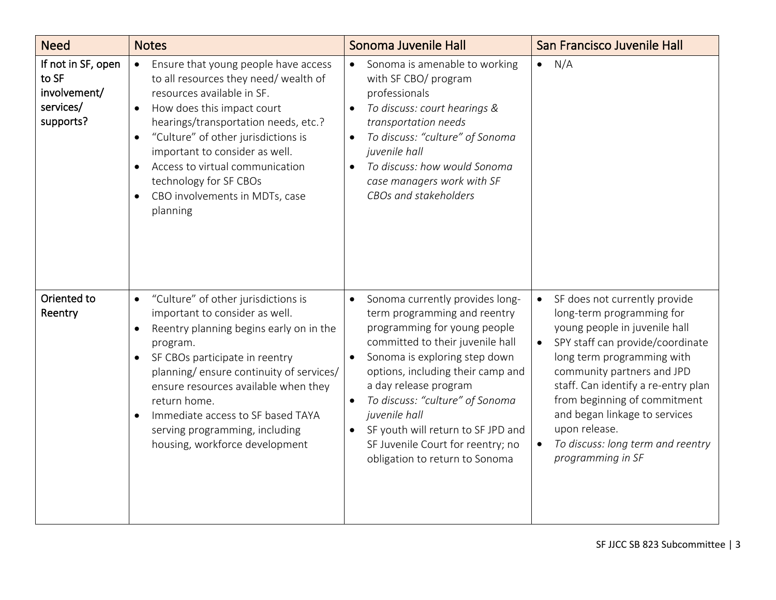| <b>Need</b>                                                           | <b>Notes</b>                                                                                                                                                                                                                                                                                                                                                                                         | Sonoma Juvenile Hall                                                                                                                                                                                                                                                                                                                                                                                                                                    | San Francisco Juvenile Hall                                                                                                                                                                                                                                                                                                                                                                              |
|-----------------------------------------------------------------------|------------------------------------------------------------------------------------------------------------------------------------------------------------------------------------------------------------------------------------------------------------------------------------------------------------------------------------------------------------------------------------------------------|---------------------------------------------------------------------------------------------------------------------------------------------------------------------------------------------------------------------------------------------------------------------------------------------------------------------------------------------------------------------------------------------------------------------------------------------------------|----------------------------------------------------------------------------------------------------------------------------------------------------------------------------------------------------------------------------------------------------------------------------------------------------------------------------------------------------------------------------------------------------------|
| If not in SF, open<br>to SF<br>involvement/<br>services/<br>supports? | Ensure that young people have access<br>$\bullet$<br>to all resources they need/ wealth of<br>resources available in SF.<br>How does this impact court<br>hearings/transportation needs, etc.?<br>"Culture" of other jurisdictions is<br>important to consider as well.<br>Access to virtual communication<br>technology for SF CBOs<br>CBO involvements in MDTs, case<br>planning                   | Sonoma is amenable to working<br>$\bullet$<br>with SF CBO/ program<br>professionals<br>To discuss: court hearings &<br>$\bullet$<br>transportation needs<br>To discuss: "culture" of Sonoma<br>$\bullet$<br>juvenile hall<br>To discuss: how would Sonoma<br>$\bullet$<br>case managers work with SF<br>CBOs and stakeholders                                                                                                                           | N/A<br>$\bullet$                                                                                                                                                                                                                                                                                                                                                                                         |
| Oriented to<br>Reentry                                                | "Culture" of other jurisdictions is<br>$\bullet$<br>important to consider as well.<br>Reentry planning begins early on in the<br>program.<br>SF CBOs participate in reentry<br>$\bullet$<br>planning/ensure continuity of services/<br>ensure resources available when they<br>return home.<br>Immediate access to SF based TAYA<br>serving programming, including<br>housing, workforce development | Sonoma currently provides long-<br>$\bullet$<br>term programming and reentry<br>programming for young people<br>committed to their juvenile hall<br>Sonoma is exploring step down<br>$\bullet$<br>options, including their camp and<br>a day release program<br>To discuss: "culture" of Sonoma<br>$\bullet$<br>juvenile hall<br>SF youth will return to SF JPD and<br>$\bullet$<br>SF Juvenile Court for reentry; no<br>obligation to return to Sonoma | SF does not currently provide<br>$\bullet$<br>long-term programming for<br>young people in juvenile hall<br>SPY staff can provide/coordinate<br>long term programming with<br>community partners and JPD<br>staff. Can identify a re-entry plan<br>from beginning of commitment<br>and began linkage to services<br>upon release.<br>To discuss: long term and reentry<br>$\bullet$<br>programming in SF |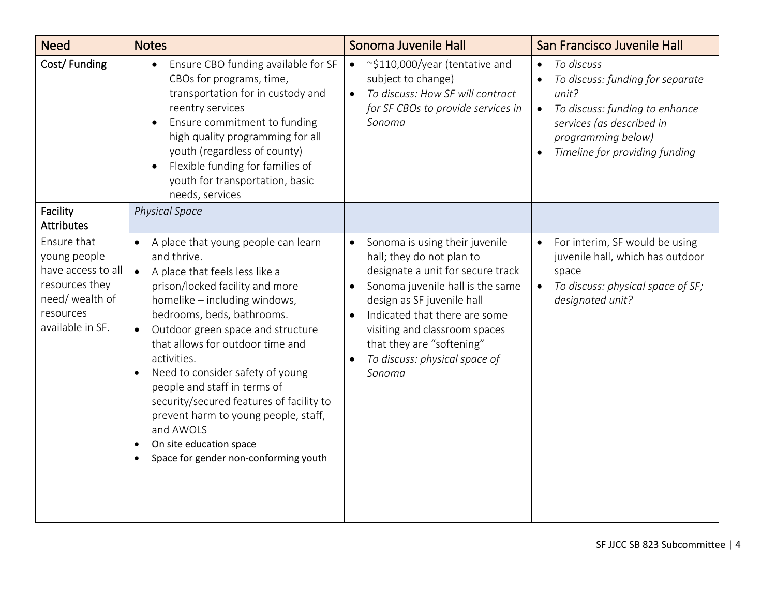| <b>Need</b>                                                                                                             | <b>Notes</b>                                                                                                                                                                                                                                                                                                                                                                                                                                                                                                                                      | Sonoma Juvenile Hall                                                                                                                                                                                                                                                                                                                                             | San Francisco Juvenile Hall                                                                                                                                                                              |
|-------------------------------------------------------------------------------------------------------------------------|---------------------------------------------------------------------------------------------------------------------------------------------------------------------------------------------------------------------------------------------------------------------------------------------------------------------------------------------------------------------------------------------------------------------------------------------------------------------------------------------------------------------------------------------------|------------------------------------------------------------------------------------------------------------------------------------------------------------------------------------------------------------------------------------------------------------------------------------------------------------------------------------------------------------------|----------------------------------------------------------------------------------------------------------------------------------------------------------------------------------------------------------|
| Cost/Funding                                                                                                            | Ensure CBO funding available for SF<br>$\bullet$<br>CBOs for programs, time,<br>transportation for in custody and<br>reentry services<br>Ensure commitment to funding<br>$\bullet$<br>high quality programming for all<br>youth (regardless of county)<br>Flexible funding for families of<br>youth for transportation, basic<br>needs, services                                                                                                                                                                                                  | ~\$110,000/year (tentative and<br>$\bullet$<br>subject to change)<br>To discuss: How SF will contract<br>$\bullet$<br>for SF CBOs to provide services in<br>Sonoma                                                                                                                                                                                               | To discuss<br>$\bullet$<br>To discuss: funding for separate<br>unit?<br>To discuss: funding to enhance<br>$\bullet$<br>services (as described in<br>programming below)<br>Timeline for providing funding |
| Facility<br><b>Attributes</b>                                                                                           | <b>Physical Space</b>                                                                                                                                                                                                                                                                                                                                                                                                                                                                                                                             |                                                                                                                                                                                                                                                                                                                                                                  |                                                                                                                                                                                                          |
| Ensure that<br>young people<br>have access to all<br>resources they<br>need/ wealth of<br>resources<br>available in SF. | A place that young people can learn<br>and thrive.<br>A place that feels less like a<br>$\bullet$<br>prison/locked facility and more<br>homelike - including windows,<br>bedrooms, beds, bathrooms.<br>Outdoor green space and structure<br>$\bullet$<br>that allows for outdoor time and<br>activities.<br>Need to consider safety of young<br>people and staff in terms of<br>security/secured features of facility to<br>prevent harm to young people, staff,<br>and AWOLS<br>On site education space<br>Space for gender non-conforming youth | Sonoma is using their juvenile<br>$\bullet$<br>hall; they do not plan to<br>designate a unit for secure track<br>Sonoma juvenile hall is the same<br>$\bullet$<br>design as SF juvenile hall<br>Indicated that there are some<br>$\bullet$<br>visiting and classroom spaces<br>that they are "softening"<br>To discuss: physical space of<br>$\bullet$<br>Sonoma | For interim, SF would be using<br>$\bullet$<br>juvenile hall, which has outdoor<br>space<br>To discuss: physical space of SF;<br>$\bullet$<br>designated unit?                                           |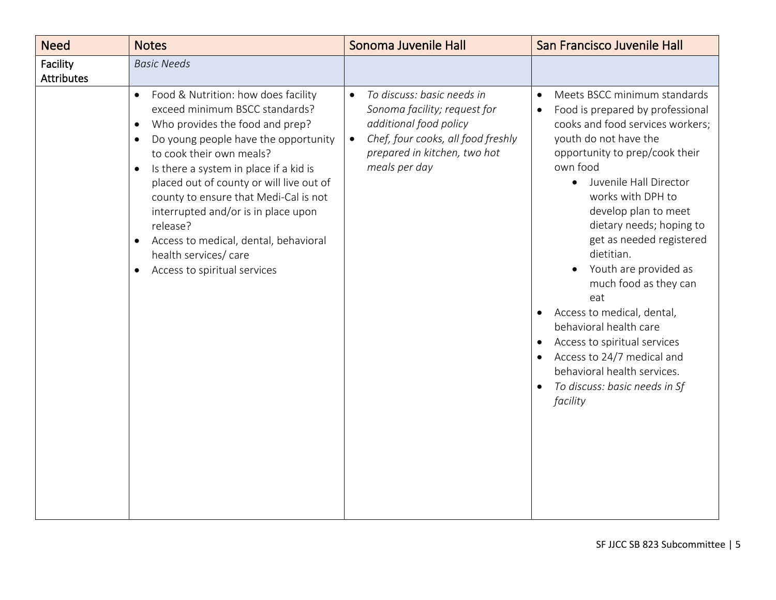| <b>Need</b>                   | <b>Notes</b>                                                                                                                                                                                                                                                                                                                                                                                                                                                                                                         | Sonoma Juvenile Hall                                                                                                                                                                                  | San Francisco Juvenile Hall                                                                                                                                                                                                                                                                                                                                                                                                                                                                                                                                                                      |
|-------------------------------|----------------------------------------------------------------------------------------------------------------------------------------------------------------------------------------------------------------------------------------------------------------------------------------------------------------------------------------------------------------------------------------------------------------------------------------------------------------------------------------------------------------------|-------------------------------------------------------------------------------------------------------------------------------------------------------------------------------------------------------|--------------------------------------------------------------------------------------------------------------------------------------------------------------------------------------------------------------------------------------------------------------------------------------------------------------------------------------------------------------------------------------------------------------------------------------------------------------------------------------------------------------------------------------------------------------------------------------------------|
| Facility<br><b>Attributes</b> | <b>Basic Needs</b>                                                                                                                                                                                                                                                                                                                                                                                                                                                                                                   |                                                                                                                                                                                                       |                                                                                                                                                                                                                                                                                                                                                                                                                                                                                                                                                                                                  |
|                               | Food & Nutrition: how does facility<br>$\bullet$<br>exceed minimum BSCC standards?<br>Who provides the food and prep?<br>Do young people have the opportunity<br>$\bullet$<br>to cook their own meals?<br>Is there a system in place if a kid is<br>$\bullet$<br>placed out of county or will live out of<br>county to ensure that Medi-Cal is not<br>interrupted and/or is in place upon<br>release?<br>Access to medical, dental, behavioral<br>health services/ care<br>Access to spiritual services<br>$\bullet$ | To discuss: basic needs in<br>$\bullet$<br>Sonoma facility; request for<br>additional food policy<br>Chef, four cooks, all food freshly<br>$\bullet$<br>prepared in kitchen, two hot<br>meals per day | Meets BSCC minimum standards<br>Food is prepared by professional<br>$\bullet$<br>cooks and food services workers;<br>youth do not have the<br>opportunity to prep/cook their<br>own food<br>Juvenile Hall Director<br>works with DPH to<br>develop plan to meet<br>dietary needs; hoping to<br>get as needed registered<br>dietitian.<br>Youth are provided as<br>much food as they can<br>eat<br>Access to medical, dental,<br>behavioral health care<br>Access to spiritual services<br>Access to 24/7 medical and<br>behavioral health services.<br>To discuss: basic needs in Sf<br>facility |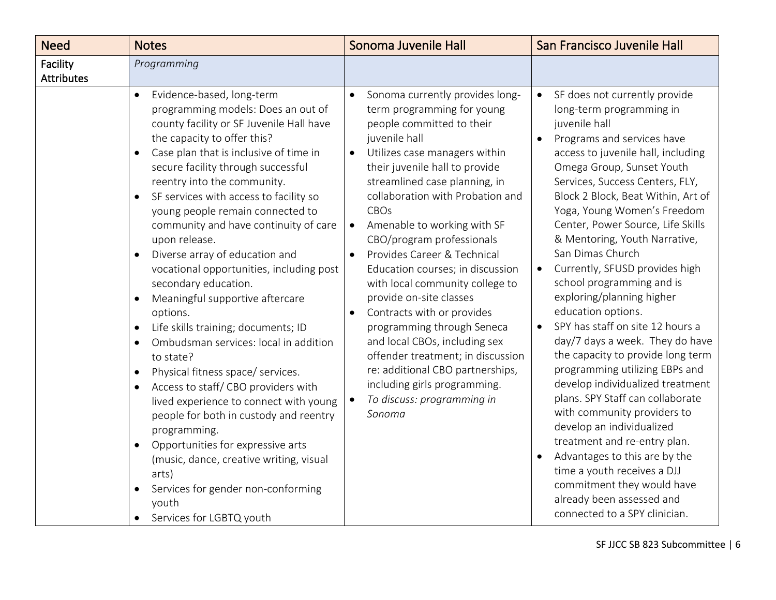| <b>Need</b>                   | <b>Notes</b>                                                                                                                                                                                                                                                                                                                                                                                                                                                                                                                                                                                                                                                                                                                                                                                                                                                                                                                                                                                                                                                                                                                | Sonoma Juvenile Hall                                                                                                                                                                                                                                                                                                                                                                                                                                                                                                                                                                                                                                                                                                                                                    | San Francisco Juvenile Hall                                                                                                                                                                                                                                                                                                                                                                                                                                                                                                                                                                                                                                                                                                                                                                                                                                                                                                                                                                             |
|-------------------------------|-----------------------------------------------------------------------------------------------------------------------------------------------------------------------------------------------------------------------------------------------------------------------------------------------------------------------------------------------------------------------------------------------------------------------------------------------------------------------------------------------------------------------------------------------------------------------------------------------------------------------------------------------------------------------------------------------------------------------------------------------------------------------------------------------------------------------------------------------------------------------------------------------------------------------------------------------------------------------------------------------------------------------------------------------------------------------------------------------------------------------------|-------------------------------------------------------------------------------------------------------------------------------------------------------------------------------------------------------------------------------------------------------------------------------------------------------------------------------------------------------------------------------------------------------------------------------------------------------------------------------------------------------------------------------------------------------------------------------------------------------------------------------------------------------------------------------------------------------------------------------------------------------------------------|---------------------------------------------------------------------------------------------------------------------------------------------------------------------------------------------------------------------------------------------------------------------------------------------------------------------------------------------------------------------------------------------------------------------------------------------------------------------------------------------------------------------------------------------------------------------------------------------------------------------------------------------------------------------------------------------------------------------------------------------------------------------------------------------------------------------------------------------------------------------------------------------------------------------------------------------------------------------------------------------------------|
| Facility<br><b>Attributes</b> | Programming                                                                                                                                                                                                                                                                                                                                                                                                                                                                                                                                                                                                                                                                                                                                                                                                                                                                                                                                                                                                                                                                                                                 |                                                                                                                                                                                                                                                                                                                                                                                                                                                                                                                                                                                                                                                                                                                                                                         |                                                                                                                                                                                                                                                                                                                                                                                                                                                                                                                                                                                                                                                                                                                                                                                                                                                                                                                                                                                                         |
|                               | Evidence-based, long-term<br>$\bullet$<br>programming models: Does an out of<br>county facility or SF Juvenile Hall have<br>the capacity to offer this?<br>Case plan that is inclusive of time in<br>secure facility through successful<br>reentry into the community.<br>SF services with access to facility so<br>$\bullet$<br>young people remain connected to<br>community and have continuity of care<br>upon release.<br>Diverse array of education and<br>$\bullet$<br>vocational opportunities, including post<br>secondary education.<br>Meaningful supportive aftercare<br>options.<br>Life skills training; documents; ID<br>$\bullet$<br>Ombudsman services: local in addition<br>$\bullet$<br>to state?<br>Physical fitness space/ services.<br>$\bullet$<br>Access to staff/CBO providers with<br>$\bullet$<br>lived experience to connect with young<br>people for both in custody and reentry<br>programming.<br>Opportunities for expressive arts<br>$\bullet$<br>(music, dance, creative writing, visual<br>arts)<br>Services for gender non-conforming<br>$\bullet$<br>youth<br>Services for LGBTQ youth | Sonoma currently provides long-<br>$\bullet$<br>term programming for young<br>people committed to their<br>juvenile hall<br>Utilizes case managers within<br>$\bullet$<br>their juvenile hall to provide<br>streamlined case planning, in<br>collaboration with Probation and<br>CBOs<br>Amenable to working with SF<br>$\bullet$<br>CBO/program professionals<br>Provides Career & Technical<br>$\bullet$<br>Education courses; in discussion<br>with local community college to<br>provide on-site classes<br>Contracts with or provides<br>$\bullet$<br>programming through Seneca<br>and local CBOs, including sex<br>offender treatment; in discussion<br>re: additional CBO partnerships,<br>including girls programming.<br>To discuss: programming in<br>Sonoma | SF does not currently provide<br>$\bullet$<br>long-term programming in<br>juvenile hall<br>Programs and services have<br>access to juvenile hall, including<br>Omega Group, Sunset Youth<br>Services, Success Centers, FLY,<br>Block 2 Block, Beat Within, Art of<br>Yoga, Young Women's Freedom<br>Center, Power Source, Life Skills<br>& Mentoring, Youth Narrative,<br>San Dimas Church<br>Currently, SFUSD provides high<br>$\bullet$<br>school programming and is<br>exploring/planning higher<br>education options.<br>SPY has staff on site 12 hours a<br>day/7 days a week. They do have<br>the capacity to provide long term<br>programming utilizing EBPs and<br>develop individualized treatment<br>plans. SPY Staff can collaborate<br>with community providers to<br>develop an individualized<br>treatment and re-entry plan.<br>Advantages to this are by the<br>time a youth receives a DJJ<br>commitment they would have<br>already been assessed and<br>connected to a SPY clinician. |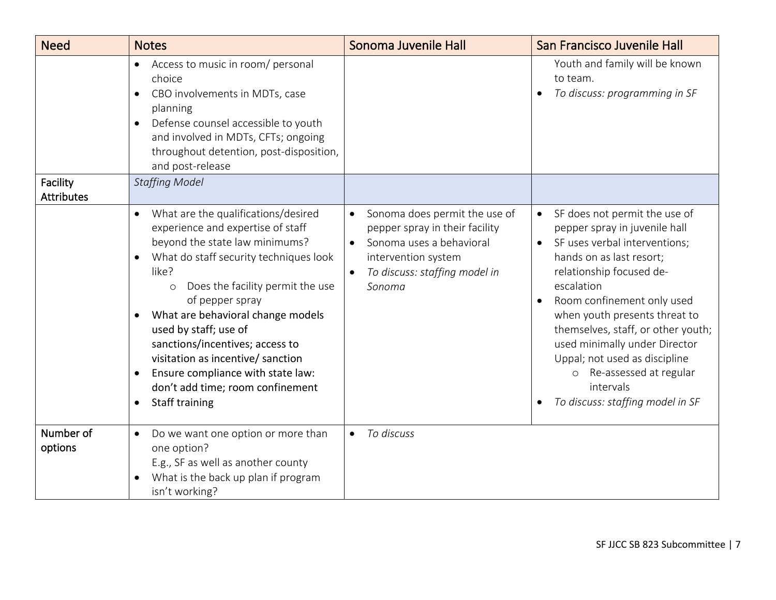| <b>Need</b>                   | <b>Notes</b>                                                                                                                                                                                                                                                                                                                                                                                                                                                                                      | Sonoma Juvenile Hall                                                                                                                                                                                 | San Francisco Juvenile Hall                                                                                                                                                                                                                                                                                                                                                                                                                         |
|-------------------------------|---------------------------------------------------------------------------------------------------------------------------------------------------------------------------------------------------------------------------------------------------------------------------------------------------------------------------------------------------------------------------------------------------------------------------------------------------------------------------------------------------|------------------------------------------------------------------------------------------------------------------------------------------------------------------------------------------------------|-----------------------------------------------------------------------------------------------------------------------------------------------------------------------------------------------------------------------------------------------------------------------------------------------------------------------------------------------------------------------------------------------------------------------------------------------------|
|                               | Access to music in room/ personal<br>$\bullet$<br>choice<br>CBO involvements in MDTs, case<br>$\bullet$<br>planning<br>Defense counsel accessible to youth<br>and involved in MDTs, CFTs; ongoing<br>throughout detention, post-disposition,<br>and post-release                                                                                                                                                                                                                                  |                                                                                                                                                                                                      | Youth and family will be known<br>to team.<br>To discuss: programming in SF                                                                                                                                                                                                                                                                                                                                                                         |
| Facility<br><b>Attributes</b> | <b>Staffing Model</b>                                                                                                                                                                                                                                                                                                                                                                                                                                                                             |                                                                                                                                                                                                      |                                                                                                                                                                                                                                                                                                                                                                                                                                                     |
|                               | What are the qualifications/desired<br>$\bullet$<br>experience and expertise of staff<br>beyond the state law minimums?<br>What do staff security techniques look<br>like?<br>Does the facility permit the use<br>$\circ$<br>of pepper spray<br>What are behavioral change models<br>used by staff; use of<br>sanctions/incentives; access to<br>visitation as incentive/ sanction<br>Ensure compliance with state law:<br>$\bullet$<br>don't add time; room confinement<br><b>Staff training</b> | Sonoma does permit the use of<br>$\bullet$<br>pepper spray in their facility<br>Sonoma uses a behavioral<br>$\bullet$<br>intervention system<br>To discuss: staffing model in<br>$\bullet$<br>Sonoma | SF does not permit the use of<br>$\bullet$<br>pepper spray in juvenile hall<br>SF uses verbal interventions;<br>$\bullet$<br>hands on as last resort;<br>relationship focused de-<br>escalation<br>Room confinement only used<br>when youth presents threat to<br>themselves, staff, or other youth;<br>used minimally under Director<br>Uppal; not used as discipline<br>o Re-assessed at regular<br>intervals<br>To discuss: staffing model in SF |
| Number of<br>options          | Do we want one option or more than<br>$\bullet$<br>one option?<br>E.g., SF as well as another county<br>What is the back up plan if program<br>isn't working?                                                                                                                                                                                                                                                                                                                                     | To discuss<br>$\bullet$                                                                                                                                                                              |                                                                                                                                                                                                                                                                                                                                                                                                                                                     |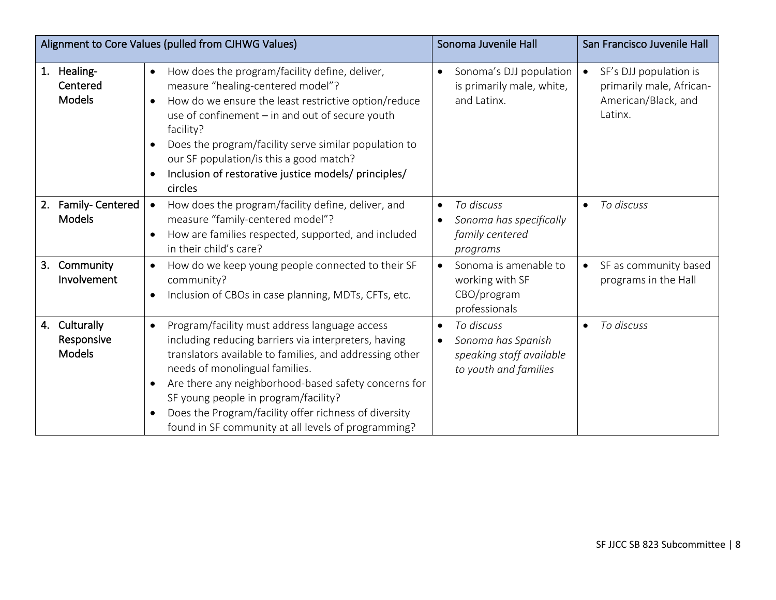|                                                 | Alignment to Core Values (pulled from CJHWG Values)                                                                                                                                                                                                                                                                                                                                                                                          | Sonoma Juvenile Hall                                                                                            | San Francisco Juvenile Hall                                                          |
|-------------------------------------------------|----------------------------------------------------------------------------------------------------------------------------------------------------------------------------------------------------------------------------------------------------------------------------------------------------------------------------------------------------------------------------------------------------------------------------------------------|-----------------------------------------------------------------------------------------------------------------|--------------------------------------------------------------------------------------|
| Healing-<br>1.<br>Centered<br><b>Models</b>     | How does the program/facility define, deliver,<br>$\bullet$<br>measure "healing-centered model"?<br>How do we ensure the least restrictive option/reduce<br>$\bullet$<br>use of confinement - in and out of secure youth<br>facility?<br>Does the program/facility serve similar population to<br>$\bullet$<br>our SF population/is this a good match?<br>Inclusion of restorative justice models/ principles/<br>$\bullet$<br>circles       | Sonoma's DJJ population<br>is primarily male, white,<br>and Latinx.                                             | SF's DJJ population is<br>primarily male, African-<br>American/Black, and<br>Latinx. |
| Family- Centered<br>2.<br><b>Models</b>         | How does the program/facility define, deliver, and<br>$\bullet$<br>measure "family-centered model"?<br>How are families respected, supported, and included<br>$\bullet$<br>in their child's care?                                                                                                                                                                                                                                            | To discuss<br>٠<br>Sonoma has specifically<br>$\bullet$<br>family centered<br>programs                          | To discuss                                                                           |
| Community<br>3 <sub>1</sub><br>Involvement      | How do we keep young people connected to their SF<br>$\bullet$<br>community?<br>Inclusion of CBOs in case planning, MDTs, CFTs, etc.<br>$\bullet$                                                                                                                                                                                                                                                                                            | Sonoma is amenable to<br>$\bullet$<br>working with SF<br>CBO/program<br>professionals                           | SF as community based<br>$\bullet$<br>programs in the Hall                           |
| Culturally<br>4.<br>Responsive<br><b>Models</b> | Program/facility must address language access<br>$\bullet$<br>including reducing barriers via interpreters, having<br>translators available to families, and addressing other<br>needs of monolingual families.<br>Are there any neighborhood-based safety concerns for<br>$\bullet$<br>SF young people in program/facility?<br>Does the Program/facility offer richness of diversity<br>found in SF community at all levels of programming? | To discuss<br>$\bullet$<br>Sonoma has Spanish<br>$\bullet$<br>speaking staff available<br>to youth and families | To discuss                                                                           |